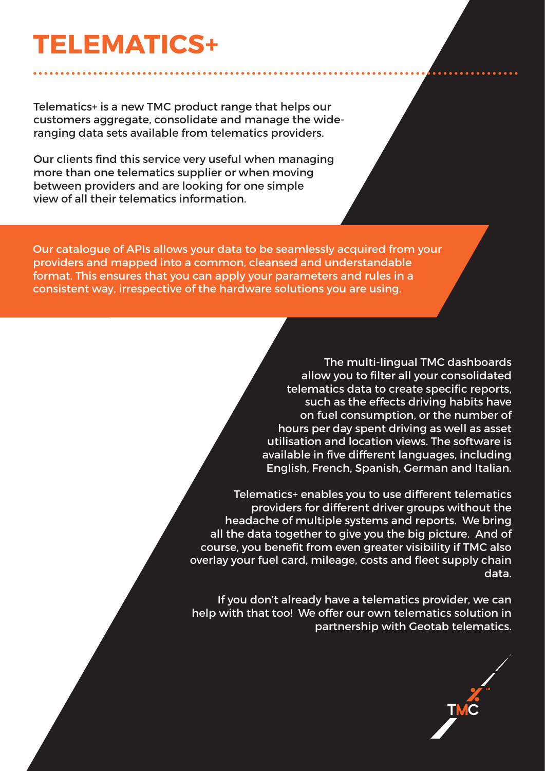# **TELEMATICS+**

Telematics+ is a new TMC product range that helps our customers aggregate, consolidate and manage the wideranging data sets available from telematics providers.

Our clients find this service very useful when managing more than one telematics supplier or when moving between providers and are looking for one simple view of all their telematics information.

Our catalogue of APIs allows your data to be seamlessly acquired from your providers and mapped into a common, cleansed and understandable format. This ensures that you can apply your parameters and rules in a consistent way, irrespective of the hardware solutions you are using.

> The multi-lingual TMC dashboards allow you to filter all your consolidated telematics data to create specific reports, such as the effects driving habits have on fuel consumption, or the number of hours per day spent driving as well as asset utilisation and location views. The software is available in five different languages, including English, French, Spanish, German and Italian.

Telematics+ enables you to use different telematics providers for different driver groups without the headache of multiple systems and reports. We bring all the data together to give you the big picture. And of course, you benefit from even greater visibility if TMC also overlay your fuel card, mileage, costs and fleet supply chain data.

If you don't already have a telematics provider, we can help with that too! We offer our own telematics solution in partnership with Geotab telematics.

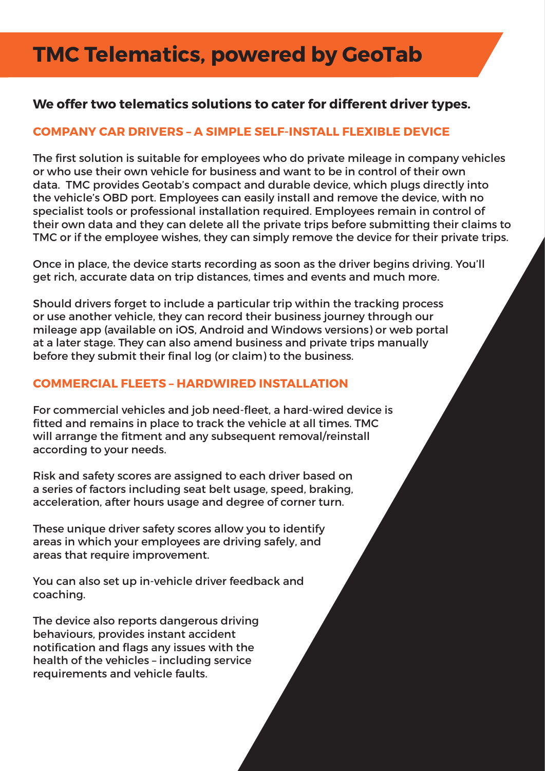## **TMC Telematics, powered by GeoTab**

### **We offer two telematics solutions to cater for different driver types.**

#### **COMPANY CAR DRIVERS – A SIMPLE SELF-INSTALL FLEXIBLE DEVICE**

The first solution is suitable for employees who do private mileage in company vehicles or who use their own vehicle for business and want to be in control of their own data. TMC provides Geotab's compact and durable device, which plugs directly into the vehicle's OBD port. Employees can easily install and remove the device, with no specialist tools or professional installation required. Employees remain in control of their own data and they can delete all the private trips before submitting their claims to TMC or if the employee wishes, they can simply remove the device for their private trips.

Once in place, the device starts recording as soon as the driver begins driving. You'll get rich, accurate data on trip distances, times and events and much more.

Should drivers forget to include a particular trip within the tracking process or use another vehicle, they can record their business journey through our mileage app (available on iOS, Android and Windows versions) or web portal at a later stage. They can also amend business and private trips manually before they submit their final log (or claim) to the business.

#### **COMMERCIAL FLEETS – HARDWIRED INSTALLATION**

For commercial vehicles and job need-fleet, a hard-wired device is fitted and remains in place to track the vehicle at all times. TMC will arrange the fitment and any subsequent removal/reinstall according to your needs.

Risk and safety scores are assigned to each driver based on a series of factors including seat belt usage, speed, braking, acceleration, after hours usage and degree of corner turn.

These unique driver safety scores allow you to identify areas in which your employees are driving safely, and areas that require improvement.

You can also set up in-vehicle driver feedback and coaching.

The device also reports dangerous driving behaviours, provides instant accident notification and flags any issues with the health of the vehicles – including service requirements and vehicle faults.